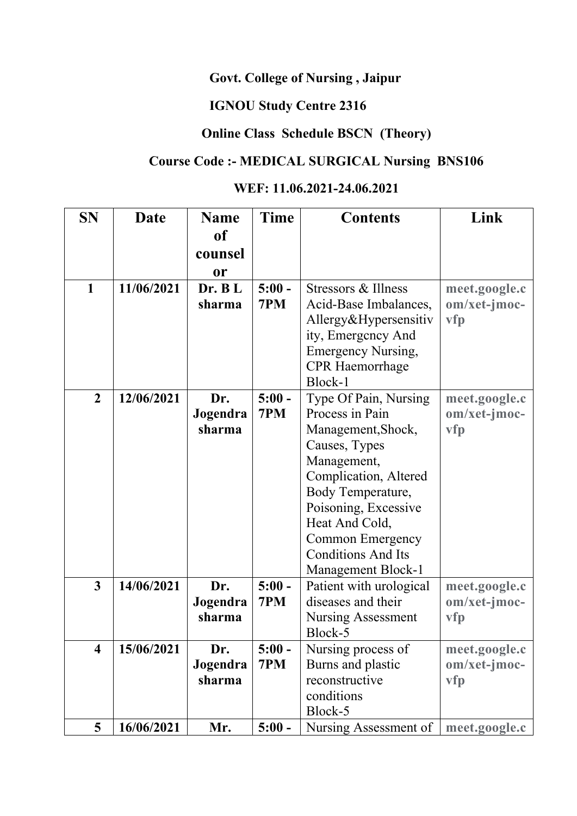#### **Govt. College of Nursing , Jaipur**

# **IGNOU Study Centre 2316**

### **Online Class Schedule BSCN (Theory)**

# **Course Code :- MEDICAL SURGICAL Nursing BNS106**

### **WEF: 11.06.2021-24.06.2021**

| <b>SN</b>               | Date       | <b>Name</b>        | <b>Time</b> | <b>Contents</b>                     | Link           |
|-------------------------|------------|--------------------|-------------|-------------------------------------|----------------|
|                         |            | <b>of</b>          |             |                                     |                |
|                         |            | counsel            |             |                                     |                |
|                         |            | <b>or</b>          |             |                                     |                |
| $\mathbf{1}$            | 11/06/2021 | Dr. BL             | $5:00 -$    | Stressors & Illness                 | meet.google.c  |
|                         |            | sharma             | 7PM         | Acid-Base Imbalances,               | om/xet-jmoc-   |
|                         |            |                    |             | Allergy&Hypersensitiv               | vfp            |
|                         |            |                    |             | ity, Emergency And                  |                |
|                         |            |                    |             | <b>Emergency Nursing,</b>           |                |
|                         |            |                    |             | <b>CPR</b> Haemorrhage              |                |
|                         |            |                    |             | Block-1                             |                |
| $\overline{2}$          | 12/06/2021 | Dr.                | $5:00 -$    | Type Of Pain, Nursing               | meet.google.c  |
|                         |            | Jogendra           | 7PM         | Process in Pain                     | $om/xet-jmoc-$ |
|                         |            | sharma             |             | Management, Shock,                  | vfp            |
|                         |            |                    |             | Causes, Types                       |                |
|                         |            |                    |             | Management,                         |                |
|                         |            |                    |             | Complication, Altered               |                |
|                         |            |                    |             | Body Temperature,                   |                |
|                         |            |                    |             | Poisoning, Excessive                |                |
|                         |            |                    |             | Heat And Cold,                      |                |
|                         |            |                    |             | <b>Common Emergency</b>             |                |
|                         |            |                    |             | <b>Conditions And Its</b>           |                |
|                         |            |                    |             | Management Block-1                  |                |
| $\overline{3}$          | 14/06/2021 | Dr.                | $5:00 -$    | Patient with urological             | meet.google.c  |
|                         |            | Jogendra           | 7PM         | diseases and their                  | $om/xet-jmoc-$ |
|                         |            | sharma             |             | <b>Nursing Assessment</b>           | vfp            |
|                         |            |                    |             | Block-5                             |                |
| $\overline{\mathbf{4}}$ | 15/06/2021 | Dr.                | $5:00 -$    | Nursing process of                  | meet.google.c  |
|                         |            | Jogendra<br>sharma | 7PM         | Burns and plastic<br>reconstructive | $om/xet-jmoc-$ |
|                         |            |                    |             |                                     | <b>vfp</b>     |
|                         |            |                    |             | conditions<br>Block-5               |                |
| 5                       | 16/06/2021 | Mr.                | $5:00 -$    | Nursing Assessment of               | meet.google.c  |
|                         |            |                    |             |                                     |                |